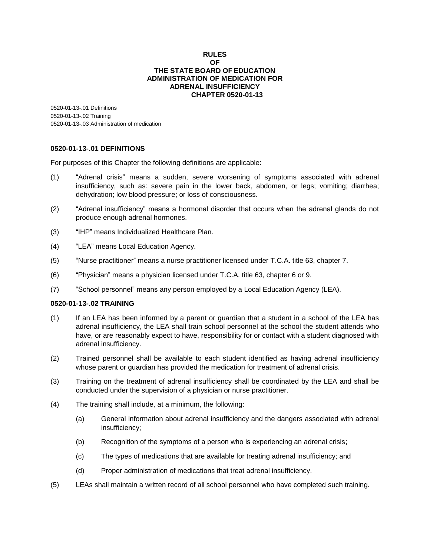## **RULES OF THE STATE BOARD OFEDUCATION ADMINISTRATION OF MEDICATION FOR ADRENAL INSUFFICIENCY CHAPTER 0520-01-13**

0520-01-13-.01 Definitions 0520-01-13-.02 Training 0520-01-13-.03 Administration of medication

## **0520-01-13-.01 DEFINITIONS**

For purposes of this Chapter the following definitions are applicable:

- (1) "Adrenal crisis" means a sudden, severe worsening of symptoms associated with adrenal insufficiency, such as: severe pain in the lower back, abdomen, or legs; vomiting; diarrhea; dehydration; low blood pressure; or loss of consciousness.
- (2) "Adrenal insufficiency" means a hormonal disorder that occurs when the adrenal glands do not produce enough adrenal hormones.
- (3) "IHP" means Individualized Healthcare Plan.
- (4) "LEA" means Local Education Agency.
- (5) "Nurse practitioner" means a nurse practitioner licensed under T.C.A. title 63, chapter 7.
- (6) "Physician" means a physician licensed under T.C.A. title 63, chapter 6 or 9.
- (7) "School personnel" means any person employed by a Local Education Agency (LEA).

## **0520-01-13-.02 TRAINING**

- (1) If an LEA has been informed by a parent or guardian that a student in a school of the LEA has adrenal insufficiency, the LEA shall train school personnel at the school the student attends who have, or are reasonably expect to have, responsibility for or contact with a student diagnosed with adrenal insufficiency.
- (2) Trained personnel shall be available to each student identified as having adrenal insufficiency whose parent or guardian has provided the medication for treatment of adrenal crisis.
- (3) Training on the treatment of adrenal insufficiency shall be coordinated by the LEA and shall be conducted under the supervision of a physician or nurse practitioner.
- (4) The training shall include, at a minimum, the following:
	- (a) General information about adrenal insufficiency and the dangers associated with adrenal insufficiency;
	- (b) Recognition of the symptoms of a person who is experiencing an adrenal crisis;
	- (c) The types of medications that are available for treating adrenal insufficiency; and
	- (d) Proper administration of medications that treat adrenal insufficiency.
- (5) LEAs shall maintain a written record of all school personnel who have completed such training.